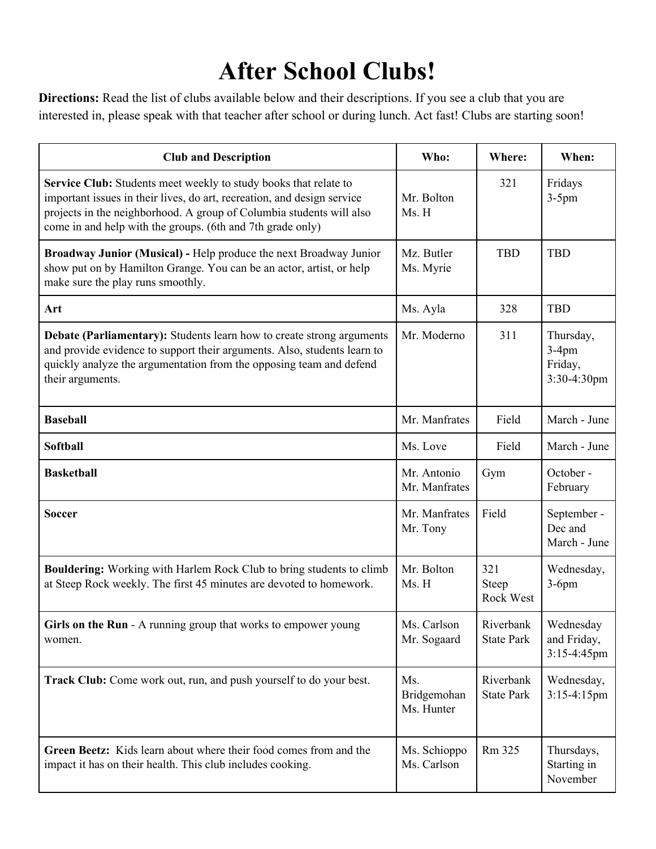## **After School Clubs!**

**Directions:** Read the list of clubs available below and their descriptions. If you see a club that you are interested in, please speak with that teacher after school or during lunch. Act fast! Clubs are starting soon!

| <b>Club and Description</b>                                                                                                                                                                                                                                                       | Who:                             | Where:                         | When:                                           |
|-----------------------------------------------------------------------------------------------------------------------------------------------------------------------------------------------------------------------------------------------------------------------------------|----------------------------------|--------------------------------|-------------------------------------------------|
| Service Club: Students meet weekly to study books that relate to<br>important issues in their lives, do art, recreation, and design service<br>projects in the neighborhood. A group of Columbia students will also<br>come in and help with the groups. (6th and 7th grade only) | Mr. Bolton<br>Ms. H              | 321                            | Fridays<br>$3-5$ pm                             |
| Broadway Junior (Musical) - Help produce the next Broadway Junior<br>show put on by Hamilton Grange. You can be an actor, artist, or help<br>make sure the play runs smoothly.                                                                                                    | Mz. Butler<br>Ms. Myrie          | <b>TBD</b>                     | <b>TBD</b>                                      |
| Art                                                                                                                                                                                                                                                                               | Ms. Ayla                         | 328                            | <b>TBD</b>                                      |
| Debate (Parliamentary): Students learn how to create strong arguments<br>and provide evidence to support their arguments. Also, students learn to<br>quickly analyze the argumentation from the opposing team and defend<br>their arguments.                                      | Mr. Moderno                      | 311                            | Thursday,<br>$3-4$ pm<br>Friday,<br>3:30-4:30pm |
| <b>Baseball</b>                                                                                                                                                                                                                                                                   | Mr. Manfrates                    | Field                          | March - June                                    |
| <b>Softball</b>                                                                                                                                                                                                                                                                   | Ms. Love                         | Field                          | March - June                                    |
| <b>Basketball</b>                                                                                                                                                                                                                                                                 | Mr. Antonio<br>Mr. Manfrates     | Gym                            | October -<br>February                           |
| <b>Soccer</b>                                                                                                                                                                                                                                                                     | Mr. Manfrates<br>Mr. Tony        | Field                          | September -<br>Dec and<br>March - June          |
| <b>Bouldering:</b> Working with Harlem Rock Club to bring students to climb<br>at Steep Rock weekly. The first 45 minutes are devoted to homework.                                                                                                                                | Mr. Bolton<br>Ms. H              | 321<br>Steep<br>Rock West      | Wednesday,<br>$3-6$ pm                          |
| Girls on the Run - A running group that works to empower young<br>women.                                                                                                                                                                                                          | Ms. Carlson<br>Mr. Sogaard       | Riverbank<br><b>State Park</b> | Wednesday<br>and Friday,<br>3:15-4:45pm         |
| Track Club: Come work out, run, and push yourself to do your best.                                                                                                                                                                                                                | Ms.<br>Bridgemohan<br>Ms. Hunter | Riverbank<br><b>State Park</b> | Wednesday,<br>$3:15-4:15$ pm                    |
| Green Beetz: Kids learn about where their food comes from and the<br>impact it has on their health. This club includes cooking.                                                                                                                                                   | Ms. Schioppo<br>Ms. Carlson      | Rm 325                         | Thursdays,<br>Starting in<br>November           |